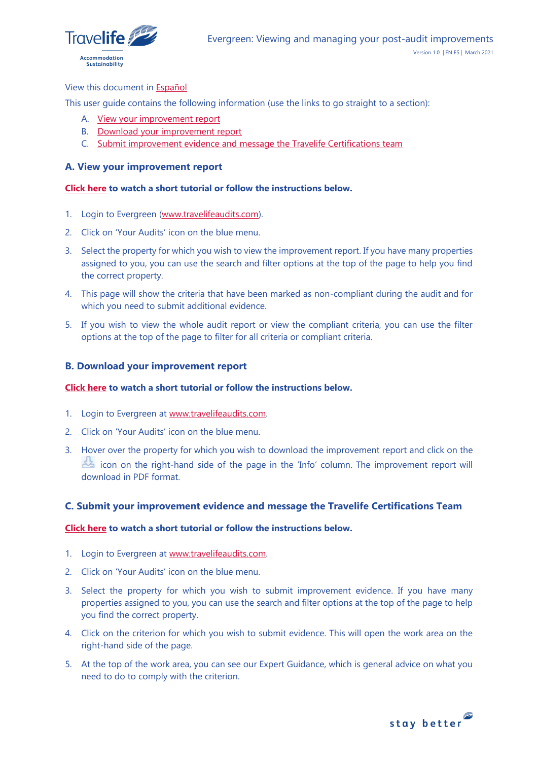

### View this document in [Español](#page-1-0)

This user guide contains the following information (use the links to go straight to a section):

- A. [View your improvement report](#page-0-0)
- B. [Download your improvement report](#page-0-1)
- C. [Submit improvement evidence and message](#page-0-2) the Travelife Certifications team

## <span id="page-0-0"></span>**A. View your improvement report**

# **[Click here](https://youtu.be/Bcue6vV8ju0) to watch a short tutorial or follow the instructions below.**

- 1. Login to Evergreen [\(www.travelifeaudits.com\)](http://www.travelifeaudits.com/).
- 2. Click on 'Your Audits' icon on the blue menu.
- 3. Select the property for which you wish to view the improvement report. If you have many properties assigned to you, you can use the search and filter options at the top of the page to help you find the correct property.
- 4. This page will show the criteria that have been marked as non-compliant during the audit and for which you need to submit additional evidence.
- 5. If you wish to view the whole audit report or view the compliant criteria, you can use the filter options at the top of the page to filter for all criteria or compliant criteria.

### <span id="page-0-1"></span>**B. Download your improvement report**

### **[Click here](https://youtu.be/Bcue6vV8ju0) to watch a short tutorial or follow the instructions below.**

- 1. Login to Evergreen at [www.travelifeaudits.com.](http://www.travelifeaudits.com/)
- 2. Click on 'Your Audits' icon on the blue menu.
- 3. Hover over the property for which you wish to download the improvement report and click on the icon on the right-hand side of the page in the 'Info' column. The improvement report will download in PDF format.

### <span id="page-0-2"></span>**C. Submit your improvement evidence and message the Travelife Certifications Team**

### **[Click here](https://youtu.be/HARVirHJrWM) to watch a short tutorial or follow the instructions below.**

- 1. Login to Evergreen at [www.travelifeaudits.com.](http://www.travelifeaudits.com/)
- 2. Click on 'Your Audits' icon on the blue menu.
- 3. Select the property for which you wish to submit improvement evidence. If you have many properties assigned to you, you can use the search and filter options at the top of the page to help you find the correct property.
- 4. Click on the criterion for which you wish to submit evidence. This will open the work area on the right-hand side of the page.
- 5. At the top of the work area, you can see our Expert Guidance, which is general advice on what you need to do to comply with the criterion.

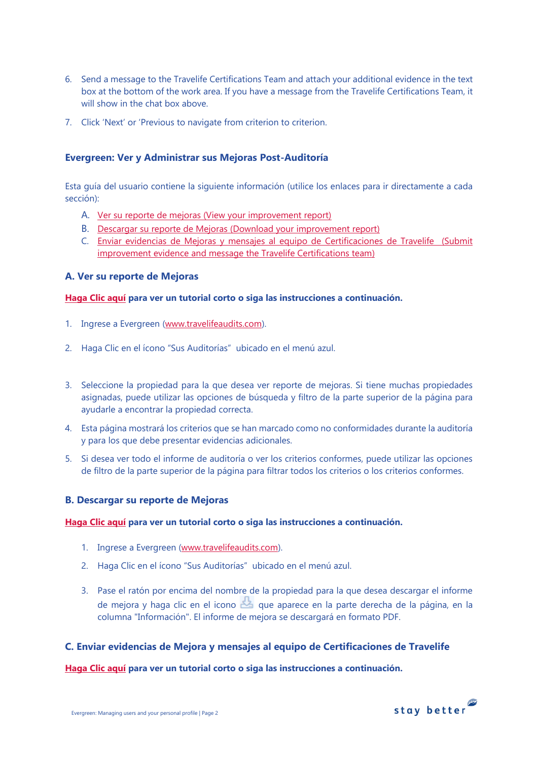- 6. Send a message to the Travelife Certifications Team and attach your additional evidence in the text box at the bottom of the work area. If you have a message from the Travelife Certifications Team, it will show in the chat box above.
- 7. Click 'Next' or 'Previous to navigate from criterion to criterion.

# <span id="page-1-0"></span>**Evergreen: Ver y Administrar sus Mejoras Post-Auditoría**

Esta guía del usuario contiene la siguiente información (utilice los enlaces para ir directamente a cada sección):

- A. Ver su reporte de mejoras (View your improvement report)
- B. [Descargar su reporte de Mejoras \(Download your improvement report\)](file:///C:/Users/cwincer/AppData/Local/Microsoft/Windows/INetCache/Content.Outlook/NVR5DYM0/ES-Viewing%20and%20managing%20your%20post-audit%20improvementsV1.0%2021JAN21.docx%23_B._Download_your)
- C. [Enviar evidencias de Mejoras y mensajes al equipo de Certificaciones de Travelife \(Submit](file:///C:/Users/cwincer/AppData/Local/Microsoft/Windows/INetCache/Content.Outlook/NVR5DYM0/ES-Viewing%20and%20managing%20your%20post-audit%20improvementsV1.0%2021JAN21.docx%23_C._Submit_your)  [improvement evidence and message the Travelife Certifications team\)](file:///C:/Users/cwincer/AppData/Local/Microsoft/Windows/INetCache/Content.Outlook/NVR5DYM0/ES-Viewing%20and%20managing%20your%20post-audit%20improvementsV1.0%2021JAN21.docx%23_C._Submit_your)

# **A. Ver su reporte de Mejoras**

### **[Haga Clic aquí](https://youtu.be/Bcue6vV8ju0) para ver un tutorial corto o siga las instrucciones a continuación.**

- 1. Ingrese a Evergreen [\(www.travelifeaudits.com\)](about:blank).
- 2. Haga Clic en el ícono "Sus Auditorías" ubicado en el menú azul.
- 3. Seleccione la propiedad para la que desea ver reporte de mejoras. Si tiene muchas propiedades asignadas, puede utilizar las opciones de búsqueda y filtro de la parte superior de la página para ayudarle a encontrar la propiedad correcta.
- 4. Esta página mostrará los criterios que se han marcado como no conformidades durante la auditoría y para los que debe presentar evidencias adicionales.
- 5. Si desea ver todo el informe de auditoría o ver los criterios conformes, puede utilizar las opciones de filtro de la parte superior de la página para filtrar todos los criterios o los criterios conformes.

# **B. Descargar su reporte de Mejoras**

### **[Haga Clic aquí](https://youtu.be/Bcue6vV8ju0) para ver un tutorial corto o siga las instrucciones a continuación.**

- 1. Ingrese a Evergreen [\(www.travelifeaudits.com\)](about:blank).
- 2. Haga Clic en el ícono "Sus Auditorías" ubicado en el menú azul.
- 3. Pase el ratón por encima del nombre de la propiedad para la que desea descargar el informe de mejora y haga clic en el icono que aparece en la parte derecha de la página, en la columna "Información". El informe de mejora se descargará en formato PDF.

# **C. Enviar evidencias de Mejora y mensajes al equipo de Certificaciones de Travelife**

### **[Haga Clic aquí](https://youtu.be/HARVirHJrWM) para ver un tutorial corto o siga las instrucciones a continuación.**